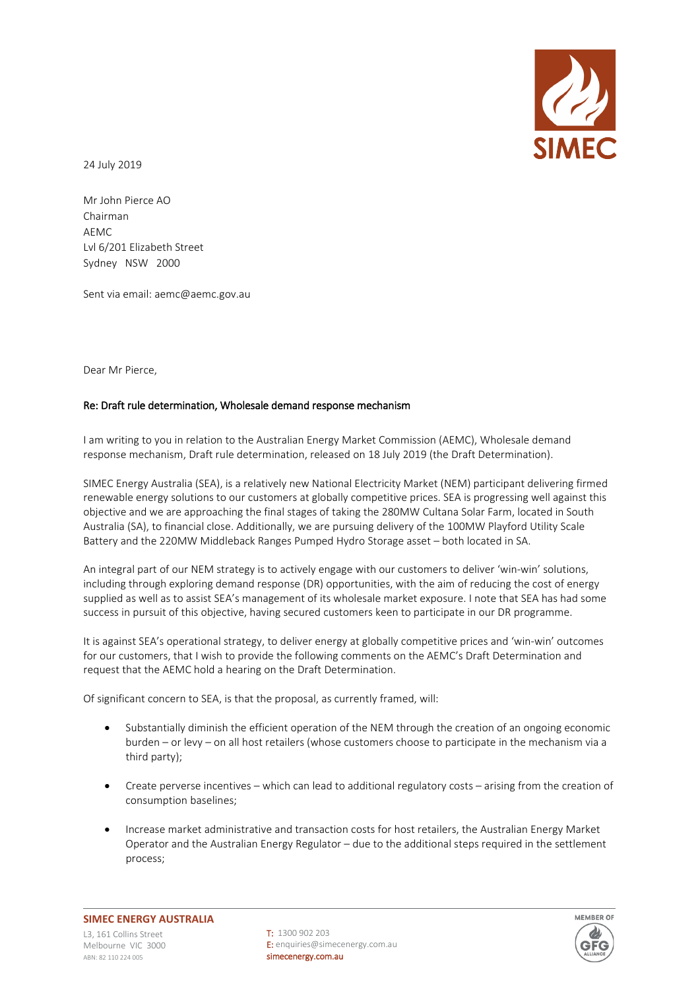

24 July 2019

Mr John Pierce AO Chairman **AEMC** Lvl 6/201 Elizabeth Street Sydney NSW 2000

Sent via email: aemc@aemc.gov.au

Dear Mr Pierce,

## Re: Draft rule determination, Wholesale demand response mechanism

I am writing to you in relation to the Australian Energy Market Commission (AEMC), Wholesale demand response mechanism, Draft rule determination, released on 18 July 2019 (the Draft Determination).

SIMEC Energy Australia (SEA), is a relatively new National Electricity Market (NEM) participant delivering firmed renewable energy solutions to our customers at globally competitive prices. SEA is progressing well against this objective and we are approaching the final stages of taking the 280MW Cultana Solar Farm, located in South Australia (SA), to financial close. Additionally, we are pursuing delivery of the 100MW Playford Utility Scale Battery and the 220MW Middleback Ranges Pumped Hydro Storage asset – both located in SA.

An integral part of our NEM strategy is to actively engage with our customers to deliver 'win-win' solutions, including through exploring demand response (DR) opportunities, with the aim of reducing the cost of energy supplied as well as to assist SEA's management of its wholesale market exposure. I note that SEA has had some success in pursuit of this objective, having secured customers keen to participate in our DR programme.

It is against SEA's operational strategy, to deliver energy at globally competitive prices and 'win-win' outcomes for our customers, that I wish to provide the following comments on the AEMC's Draft Determination and request that the AEMC hold a hearing on the Draft Determination.

Of significant concern to SEA, is that the proposal, as currently framed, will:

- Substantially diminish the efficient operation of the NEM through the creation of an ongoing economic burden – or levy – on all host retailers (whose customers choose to participate in the mechanism via a third party);
- Create perverse incentives which can lead to additional regulatory costs arising from the creation of consumption baselines;
- Increase market administrative and transaction costs for host retailers, the Australian Energy Market Operator and the Australian Energy Regulator – due to the additional steps required in the settlement process;

T: 1300 902 203 E: enquiries@simecenergy.com.au simecenergy.com.au